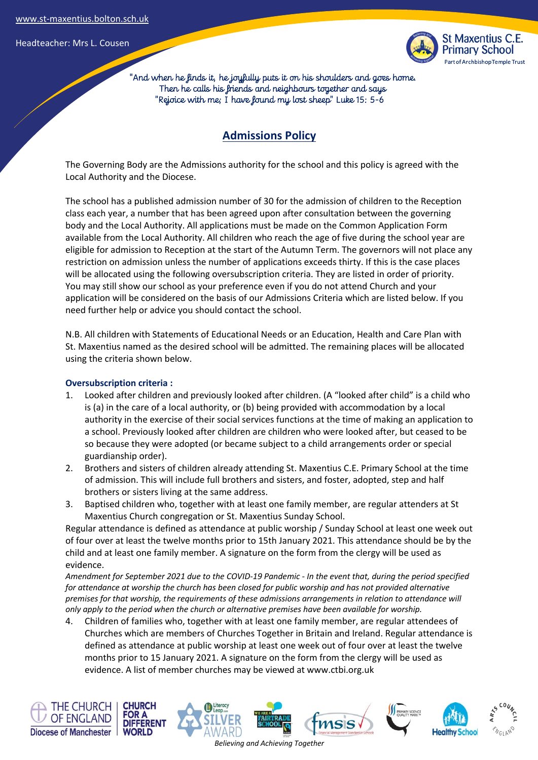

 "And when he finds it, he joyfully puts it on his shoulders and goes home. Then he calls his friends and neighbours together and says "Rejoice with me; I have found my lost sheep" Luke 15: 5-6

## **Admissions Policy**

The Governing Body are the Admissions authority for the school and this policy is agreed with the Local Authority and the Diocese.

The school has a published admission number of 30 for the admission of children to the Reception class each year, a number that has been agreed upon after consultation between the governing body and the Local Authority. All applications must be made on the Common Application Form available from the Local Authority. All children who reach the age of five during the school year are eligible for admission to Reception at the start of the Autumn Term. The governors will not place any restriction on admission unless the number of applications exceeds thirty. If this is the case places will be allocated using the following oversubscription criteria. They are listed in order of priority. You may still show our school as your preference even if you do not attend Church and your application will be considered on the basis of our Admissions Criteria which are listed below. If you need further help or advice you should contact the school.

N.B. All children with Statements of Educational Needs or an Education, Health and Care Plan with St. Maxentius named as the desired school will be admitted. The remaining places will be allocated using the criteria shown below.

#### **Oversubscription criteria :**

- 1. Looked after children and previously looked after children. (A "looked after child" is a child who is (a) in the care of a local authority, or (b) being provided with accommodation by a local authority in the exercise of their social services functions at the time of making an application to a school. Previously looked after children are children who were looked after, but ceased to be so because they were adopted (or became subject to a child arrangements order or special guardianship order).
- 2. Brothers and sisters of children already attending St. Maxentius C.E. Primary School at the time of admission. This will include full brothers and sisters, and foster, adopted, step and half brothers or sisters living at the same address.
- 3. Baptised children who, together with at least one family member, are regular attenders at St Maxentius Church congregation or St. Maxentius Sunday School.

Regular attendance is defined as attendance at public worship / Sunday School at least one week out of four over at least the twelve months prior to 15th January 2021. This attendance should be by the child and at least one family member. A signature on the form from the clergy will be used as evidence.

*Amendment for September 2021 due to the COVID-19 Pandemic - In the event that, during the period specified for attendance at worship the church has been closed for public worship and has not provided alternative premises for that worship, the requirements of these admissions arrangements in relation to attendance will only apply to the period when the church or alternative premises have been available for worship.* 

4. Children of families who, together with at least one family member, are regular attendees of Churches which are members of Churches Together in Britain and Ireland. Regular attendance is defined as attendance at public worship at least one week out of four over at least the twelve months prior to 15 January 2021. A signature on the form from the clergy will be used as evidence. A list of member churches may be viewed at www.ctbi.org.uk

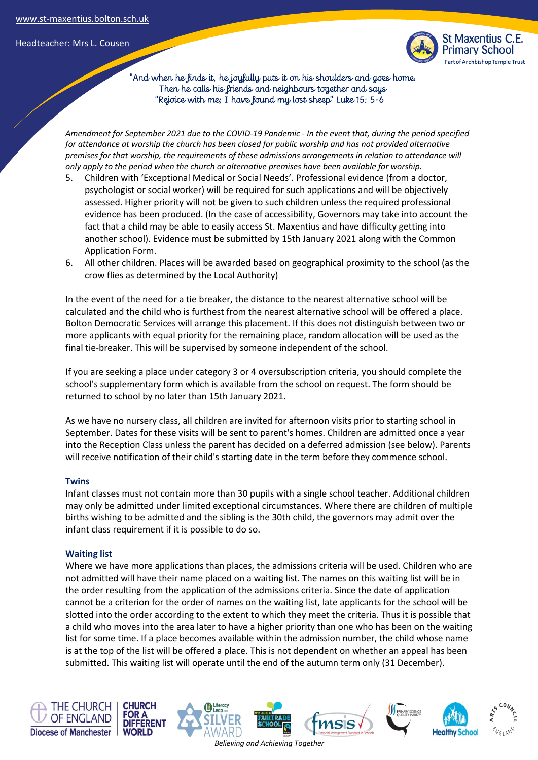

 "And when he finds it, he joyfully puts it on his shoulders and goes home. Then he calls his friends and neighbours together and says "Rejoice with me; I have found my lost sheep" Luke 15: 5-6

*Amendment for September 2021 due to the COVID-19 Pandemic - In the event that, during the period specified for attendance at worship the church has been closed for public worship and has not provided alternative premises for that worship, the requirements of these admissions arrangements in relation to attendance will only apply to the period when the church or alternative premises have been available for worship.* 

- 5. Children with 'Exceptional Medical or Social Needs'. Professional evidence (from a doctor, psychologist or social worker) will be required for such applications and will be objectively assessed. Higher priority will not be given to such children unless the required professional evidence has been produced. (In the case of accessibility, Governors may take into account the fact that a child may be able to easily access St. Maxentius and have difficulty getting into another school). Evidence must be submitted by 15th January 2021 along with the Common Application Form.
- 6. All other children. Places will be awarded based on geographical proximity to the school (as the crow flies as determined by the Local Authority)

In the event of the need for a tie breaker, the distance to the nearest alternative school will be calculated and the child who is furthest from the nearest alternative school will be offered a place. Bolton Democratic Services will arrange this placement. If this does not distinguish between two or more applicants with equal priority for the remaining place, random allocation will be used as the final tie-breaker. This will be supervised by someone independent of the school.

If you are seeking a place under category 3 or 4 oversubscription criteria, you should complete the school's supplementary form which is available from the school on request. The form should be returned to school by no later than 15th January 2021.

As we have no nursery class, all children are invited for afternoon visits prior to starting school in September. Dates for these visits will be sent to parent's homes. Children are admitted once a year into the Reception Class unless the parent has decided on a deferred admission (see below). Parents will receive notification of their child's starting date in the term before they commence school.

#### **Twins**

Infant classes must not contain more than 30 pupils with a single school teacher. Additional children may only be admitted under limited exceptional circumstances. Where there are children of multiple births wishing to be admitted and the sibling is the 30th child, the governors may admit over the infant class requirement if it is possible to do so.

#### **Waiting list**

Where we have more applications than places, the admissions criteria will be used. Children who are not admitted will have their name placed on a waiting list. The names on this waiting list will be in the order resulting from the application of the admissions criteria. Since the date of application cannot be a criterion for the order of names on the waiting list, late applicants for the school will be slotted into the order according to the extent to which they meet the criteria. Thus it is possible that a child who moves into the area later to have a higher priority than one who has been on the waiting list for some time. If a place becomes available within the admission number, the child whose name is at the top of the list will be offered a place. This is not dependent on whether an appeal has been submitted. This waiting list will operate until the end of the autumn term only (31 December).

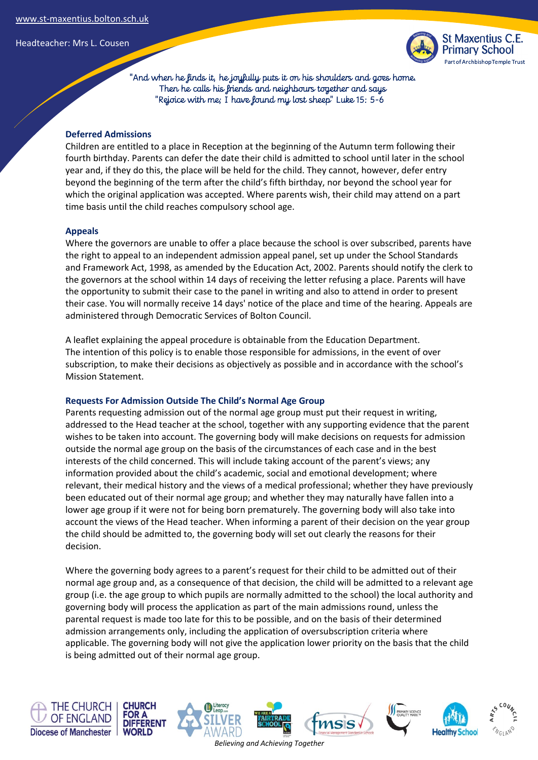

 "And when he finds it, he joyfully puts it on his shoulders and goes home. Then he calls his friends and neighbours together and says "Rejoice with me; I have found my lost sheep" Luke 15: 5-6

#### **Deferred Admissions**

Children are entitled to a place in Reception at the beginning of the Autumn term following their fourth birthday. Parents can defer the date their child is admitted to school until later in the school year and, if they do this, the place will be held for the child. They cannot, however, defer entry beyond the beginning of the term after the child's fifth birthday, nor beyond the school year for which the original application was accepted. Where parents wish, their child may attend on a part time basis until the child reaches compulsory school age.

#### **Appeals**

Where the governors are unable to offer a place because the school is over subscribed, parents have the right to appeal to an independent admission appeal panel, set up under the School Standards and Framework Act, 1998, as amended by the Education Act, 2002. Parents should notify the clerk to the governors at the school within 14 days of receiving the letter refusing a place. Parents will have the opportunity to submit their case to the panel in writing and also to attend in order to present their case. You will normally receive 14 days' notice of the place and time of the hearing. Appeals are administered through Democratic Services of Bolton Council.

A leaflet explaining the appeal procedure is obtainable from the Education Department. The intention of this policy is to enable those responsible for admissions, in the event of over subscription, to make their decisions as objectively as possible and in accordance with the school's Mission Statement.

#### **Requests For Admission Outside The Child's Normal Age Group**

Parents requesting admission out of the normal age group must put their request in writing, addressed to the Head teacher at the school, together with any supporting evidence that the parent wishes to be taken into account. The governing body will make decisions on requests for admission outside the normal age group on the basis of the circumstances of each case and in the best interests of the child concerned. This will include taking account of the parent's views; any information provided about the child's academic, social and emotional development; where relevant, their medical history and the views of a medical professional; whether they have previously been educated out of their normal age group; and whether they may naturally have fallen into a lower age group if it were not for being born prematurely. The governing body will also take into account the views of the Head teacher. When informing a parent of their decision on the year group the child should be admitted to, the governing body will set out clearly the reasons for their decision.

Where the governing body agrees to a parent's request for their child to be admitted out of their normal age group and, as a consequence of that decision, the child will be admitted to a relevant age group (i.e. the age group to which pupils are normally admitted to the school) the local authority and governing body will process the application as part of the main admissions round, unless the parental request is made too late for this to be possible, and on the basis of their determined admission arrangements only, including the application of oversubscription criteria where applicable. The governing body will not give the application lower priority on the basis that the child is being admitted out of their normal age group.

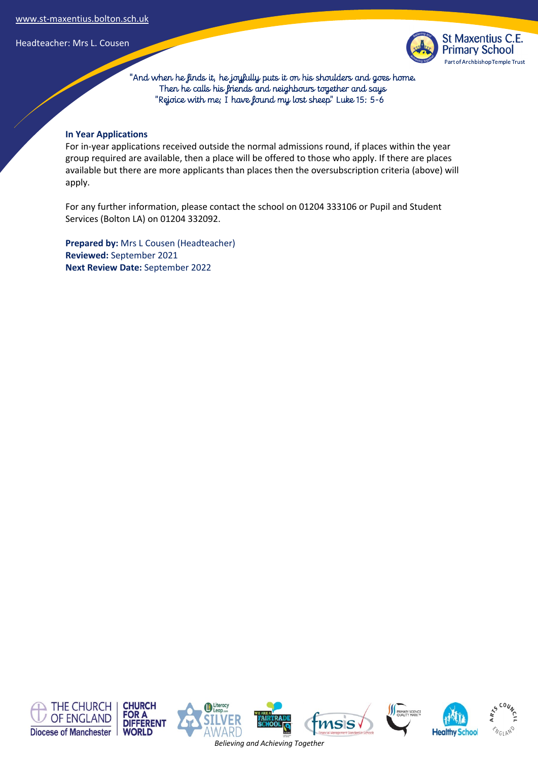

 "And when he finds it, he joyfully puts it on his shoulders and goes home. Then he calls his friends and neighbours together and says "Rejoice with me; I have found my lost sheep" Luke 15: 5-6

#### **In Year Applications**

For in-year applications received outside the normal admissions round, if places within the year group required are available, then a place will be offered to those who apply. If there are places available but there are more applicants than places then the oversubscription criteria (above) will apply.

For any further information, please contact the school on 01204 333106 or Pupil and Student Services (Bolton LA) on 01204 332092.

**Prepared by:** Mrs L Cousen (Headteacher) **Reviewed:** September 2021 **Next Review Date:** September 2022



*Believing and Achieving Together*